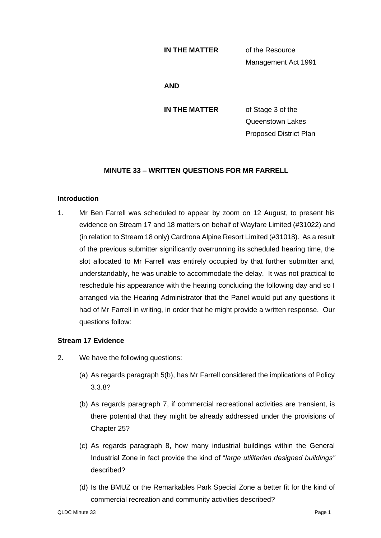## **IN THE MATTER** of the Resource

Management Act 1991

#### **AND**

**IN THE MATTER** of Stage 3 of the Queenstown Lakes Proposed District Plan

# **MINUTE 33 – WRITTEN QUESTIONS FOR MR FARRELL**

## **Introduction**

1. Mr Ben Farrell was scheduled to appear by zoom on 12 August, to present his evidence on Stream 17 and 18 matters on behalf of Wayfare Limited (#31022) and (in relation to Stream 18 only) Cardrona Alpine Resort Limited (#31018). As a result of the previous submitter significantly overrunning its scheduled hearing time, the slot allocated to Mr Farrell was entirely occupied by that further submitter and, understandably, he was unable to accommodate the delay. It was not practical to reschedule his appearance with the hearing concluding the following day and so I arranged via the Hearing Administrator that the Panel would put any questions it had of Mr Farrell in writing, in order that he might provide a written response. Our questions follow:

# **Stream 17 Evidence**

- 2. We have the following questions:
	- (a) As regards paragraph 5(b), has Mr Farrell considered the implications of Policy 3.3.8?
	- (b) As regards paragraph 7, if commercial recreational activities are transient, is there potential that they might be already addressed under the provisions of Chapter 25?
	- (c) As regards paragraph 8, how many industrial buildings within the General Industrial Zone in fact provide the kind of "*large utilitarian designed buildings"* described?
	- (d) Is the BMUZ or the Remarkables Park Special Zone a better fit for the kind of commercial recreation and community activities described?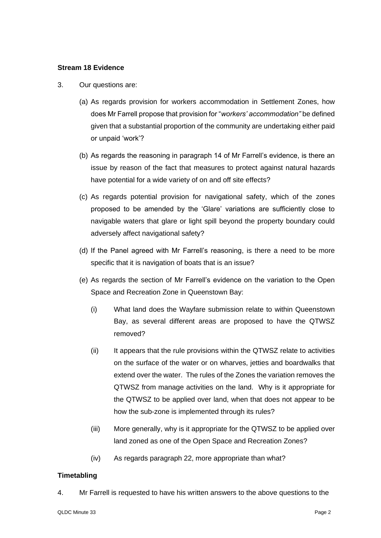## **Stream 18 Evidence**

- 3. Our questions are:
	- (a) As regards provision for workers accommodation in Settlement Zones, how does Mr Farrell propose that provision for "*workers' accommodation"* be defined given that a substantial proportion of the community are undertaking either paid or unpaid 'work'?
	- (b) As regards the reasoning in paragraph 14 of Mr Farrell's evidence, is there an issue by reason of the fact that measures to protect against natural hazards have potential for a wide variety of on and off site effects?
	- (c) As regards potential provision for navigational safety, which of the zones proposed to be amended by the 'Glare' variations are sufficiently close to navigable waters that glare or light spill beyond the property boundary could adversely affect navigational safety?
	- (d) If the Panel agreed with Mr Farrell's reasoning, is there a need to be more specific that it is navigation of boats that is an issue?
	- (e) As regards the section of Mr Farrell's evidence on the variation to the Open Space and Recreation Zone in Queenstown Bay:
		- (i) What land does the Wayfare submission relate to within Queenstown Bay, as several different areas are proposed to have the QTWSZ removed?
		- (ii) It appears that the rule provisions within the QTWSZ relate to activities on the surface of the water or on wharves, jetties and boardwalks that extend over the water. The rules of the Zones the variation removes the QTWSZ from manage activities on the land. Why is it appropriate for the QTWSZ to be applied over land, when that does not appear to be how the sub-zone is implemented through its rules?
		- (iii) More generally, why is it appropriate for the QTWSZ to be applied over land zoned as one of the Open Space and Recreation Zones?
		- (iv) As regards paragraph 22, more appropriate than what?

## **Timetabling**

4. Mr Farrell is requested to have his written answers to the above questions to the